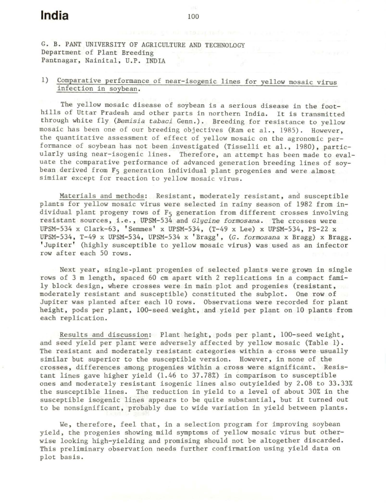G. B. PANT UNIVERSITY OF AGRICULTURE AND TECHNOLOGY Department of Plant Breeding Pantnagar, Nainital, U.P. INDIA

## 1) Comparative performance of near-isogenic lines for yellow mosaic virus infection in soybean .

The yellow mosaic disease of soybean is a serious disease in the foothills of Uttar Pradesh and other parts in northern India. It is transmitted through white fly (Bemisia tabaci Genn.). Breeding for resistance to yellow mosaic has been one of our breeding objectives (Ram et al., 1985). However, the quantitative assessment of effect of yellow mosaic on the agronomic performance of soybean has not been investigated (Tisselli et al., 1980), particularly using near-isogenic lines. Therefore, an attempt has been made to evaluate the comparative performance of advanced generation breeding lines of soybean derived from F<sub>5</sub> generation individual plant progenies and were almost similar except for reaction to yellow mosaic virus .

Materials and methods: Resistant, moderately resistant, and susceptible plants for yellow mosaic virus were selected in rainy \$eason of 1982 from individual plant progeny rows of F5 generation from different crosses involving resistant sources, i.e., UPSM-534 and *Glycine formosana*. The crosses were UPSM-534 x Clark-63, ' Semmes' x UPSM-534 , (T-49 x Lee) x UPSM-534 , PS-22 x UPSM- 534, T-49 x UPSM- 534 , UPSM-534 x ' Bragg ' , (G. *formosana* x Bragg) x Bragg . 'Jupiter' (highly susceptible to yellow mosaic virus) was used as an infector row after each 50 rows.

Next year, single-plant progenies of selected plants were grown in single rows of 3 m length, spaced 60 cm apart with 2 replications in a compact family block design, where crosses were in main plot and progenies (resistant, moderately resistant and susceptible) constituted the subplot. One row of Jupiter was planted after each 10 rows. Observations were recorded for plant height, pods per plant, 100-seed weight, and yield per plant on 10 plants from each replication.

Results and discussion: Plant height, pods per plant, 100-seed weight , and seed yield per plant were adversely affected by yellow mosaic (Table 1) . The resistant and moderately resistant categories within a cross were usually similar but superior to the susceptible version. However, in none of the crosses, differences among progenies within a cross were significant. Resistant lines gave higher yield (l.46 to 37 . 78%) in comparison to susceptible ones and moderately resistant isogenic lines also outyielded by 2. 08 to 33 . 33% the susceptible lines. The reduction in yield to a level of about 30% in the susceptible isogenic lines appears to be quite substantial, but it turned out to be nonsignificant, probably due to wide variation in yield between plants.

We, therefore, feel that, in a selection program for improving soybean yield, the progenies showing mild symptoms of yellow mosaic virus but otherwise looking high-yielding and promising should not be altogether discarded. This preliminary observation needs further confirmation using yield data on plot basis.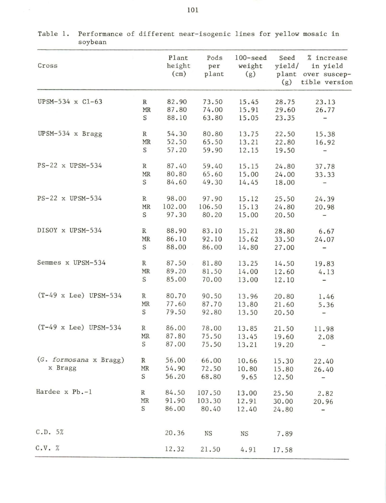| $\sim$ , $\sim$ $\sim$ $\sim$ $\sim$ |                    |                         |                      |                              |                       |                                                               |
|--------------------------------------|--------------------|-------------------------|----------------------|------------------------------|-----------------------|---------------------------------------------------------------|
| Cross                                |                    | Plant<br>height<br>(cm) | Pods<br>per<br>plant | $100$ -seed<br>weight<br>(g) | Seed<br>yield/<br>(g) | % increase<br>in yield<br>plant over suscep-<br>tible version |
| UPSM-534 x C1-63                     | $\mathbb R$<br>MR  | 82.90<br>87.80          | 73.50<br>74.00       | 15.45<br>15.91               | 28.75<br>29.60        | 23.13<br>26.77                                                |
|                                      | $\, \mathbb{S} \,$ | 88.10                   | 63.80                | 15.05                        | 23.35                 | -                                                             |
| UPSM-534 x Bragg                     | $\, {\bf R}$       | 54.30                   | 80.80                | 13.75                        | 22.50                 | 15.38                                                         |
|                                      | MR                 | 52.50                   | 65.50                | 13.21                        | 22.80                 | 16.92                                                         |
|                                      | S                  | 57.20                   | 59.90                | 12.15                        | 19.50                 | $\qquad \qquad \blacksquare$                                  |
| PS-22 x UPSM-534                     | $\mathbb R$        | 87.40                   | 59.40                | 15.15                        | 24.80                 | 37.78                                                         |
|                                      | $\texttt{MR}$      | 80.80                   | 65.60                | 15.00                        | 24.00                 | 33.33                                                         |
|                                      | S                  | 84.60                   | 49.30                | 14.45                        | 18.00                 | $\qquad \qquad \blacksquare$                                  |
| PS-22 x UPSM-534                     | ${\mathbb R}$      | 98.00                   | 97.90                | 15.12                        | 25.50                 | 24.39                                                         |
|                                      | MR                 | 102.00                  | 106.50               | 15.13                        | 24.80                 | 20.98                                                         |
|                                      | S                  | 97.30                   | 80.20                | 15.00                        | 20.50                 | $\overline{\phantom{0}}$                                      |
| DISOY x UPSM-534                     | $\mathbb R$        | 88.90                   | 83.10                | 15.21                        | 28.80                 | 6.67                                                          |
|                                      | MR                 | 86.10                   | 92.10                | 15.62                        | 33.50                 | 24.07                                                         |
|                                      | $\mathbf S$        | 88.00                   | 86.00                | 14.80                        | 27.00                 | -                                                             |
| Semmes x UPSM-534                    | R                  | 87.50                   | 81.80                | 13.25                        | 14.50                 | 19.83                                                         |
|                                      | MR                 | 89.20                   | 81.50                | 14.00                        | 12.60                 | 4.13                                                          |
|                                      | S                  | 85.00                   | 70.00                | 13.00                        | 12.10                 | $\qquad \qquad \blacksquare$                                  |
| $(T-49 \times \text{Lee})$ UPSM-534  | $\mathbb R$        | 80.70                   | 90.50                | 13.96                        | 20.80                 | 1.46                                                          |
|                                      | MR                 | 77.60                   | 87.70                | 13.80                        | 21.60                 | 5.36                                                          |
|                                      | S                  | 79.50                   | 92.80                | 13.50                        | 20.50                 | $\overline{\phantom{0}}$                                      |
| $(T-49 \times Lee)$ UPSM-534         | R                  | 86.00                   | 78.00                | 13.85                        | 21.50                 | 11.98                                                         |
|                                      | MR                 | 87.80                   | 75.50                | 13.45                        | 19.60                 | 2.08                                                          |
|                                      | S                  | 87.00                   | 75.50                | 13.21                        | 19.20                 | $\overline{\phantom{a}}$                                      |
| (G. formosana x Bragg)               | R                  | 56.00                   | 66.00                | 10.66                        | 15.30                 | 22.40                                                         |
| x Bragg                              | MR                 | 54.90                   | 72.50                | 10.80                        | 15.80                 | 26.40                                                         |
|                                      | S                  | 56.20                   | 68.80                | 9.65                         | 12.50                 | -                                                             |
| Hardee x Pb.-1                       | $\, {\bf R}$       | 84.50                   | 107.50               | 13.00                        | 25.50                 | 2.82                                                          |
|                                      | MR                 | 91.90                   | 103.30               | 12.91                        | 30.00                 | 20.96                                                         |
|                                      | S                  | 86.00                   | 80.40                | 12.40                        | 24.80                 | -                                                             |
|                                      |                    |                         |                      |                              |                       |                                                               |
| C.D. 5%                              |                    | 20.36                   | $_{\rm NS}$          | NS                           | 7.89                  |                                                               |
| C.V. %                               |                    | 12.32                   | 21.50                | 4.91                         | 17.58                 |                                                               |

Table 1. Performance of different near-isogenic lines for yellow mosaic in soybean

 $\frac{1}{2}$